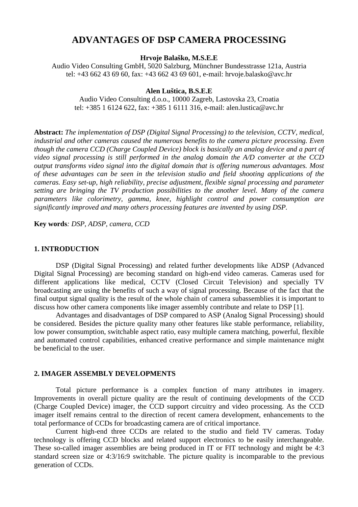# **ADVANTAGES OF DSP CAMERA PROCESSING**

**Hrvoje Balaško, M.S.E.E**

Audio Video Consulting GmbH, 5020 Salzburg, Münchner Bundesstrasse 121a, Austria tel: +43 662 43 69 60, fax: +43 662 43 69 601, e-mail: hrvoje.balasko@avc.hr

#### **Alen Luštica, B.S.E.E**

Audio Video Consulting d.o.o., 10000 Zagreb, Lastovska 23, Croatia tel: +385 1 6124 622, fax: +385 1 6111 316, e-mail: alen.lustica@avc.hr

**Abstract:** *The implementation of DSP (Digital Signal Processing) to the television, CCTV, medical, industrial and other cameras caused the numerous benefits to the camera picture processing. Even though the camera CCD (Charge Coupled Device) block is basically an analog device and a part of video signal processing is still performed in the analog domain the A/D converter at the CCD output transforms video signal into the digital domain that is offering numerous advantages. Most of these advantages can be seen in the television studio and field shooting applications of the cameras. Easy set-up, high reliability, precise adjustment, flexible signal processing and parameter setting are bringing the TV production possibilities to the another level. Many of the camera parameters like colorimetry, gamma, knee, highlight control and power consumption are significantly improved and many others processing features are invented by using DSP.*

**Key words***: DSP, ADSP, camera, CCD*

### **1. INTRODUCTION**

DSP (Digital Signal Processing) and related further developments like ADSP (Advanced Digital Signal Processing) are becoming standard on high-end video cameras. Cameras used for different applications like medical, CCTV (Closed Circuit Television) and specially TV broadcasting are using the benefits of such a way of signal processing. Because of the fact that the final output signal quality is the result of the whole chain of camera subassemblies it is important to discuss how other camera components like imager assembly contribute and relate to DSP [1].

Advantages and disadvantages of DSP compared to ASP (Analog Signal Processing) should be considered. Besides the picture quality many other features like stable performance, reliability, low power consumption, switchable aspect ratio, easy multiple camera matching, powerful, flexible and automated control capabilities, enhanced creative performance and simple maintenance might be beneficial to the user.

#### **2. IMAGER ASSEMBLY DEVELOPMENTS**

Total picture performance is a complex function of many attributes in imagery. Improvements in overall picture quality are the result of continuing developments of the CCD (Charge Coupled Device) imager, the CCD support circuitry and video processing. As the CCD imager itself remains central to the direction of recent camera development, enhancements to the total performance of CCDs for broadcasting camera are of critical importance.

Current high-end three CCDs are related to the studio and field TV cameras. Today technology is offering CCD blocks and related support electronics to be easily interchangeable. These so-called imager assemblies are being produced in IT or FIT technology and might be 4:3 standard screen size or 4:3/16:9 switchable. The picture quality is incomparable to the previous generation of CCDs.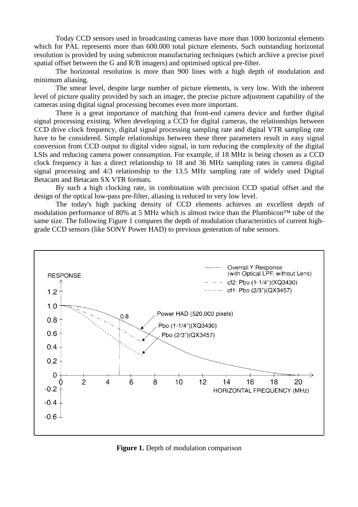Today CCD sensors used in broadcasting cameras have more than 1000 horizontal elements which for PAL represents more than 600.000 total picture elements. Such outstanding horizontal resolution is provided by using submicron manufacturing techniques (which archive a precise pixel spatial offset between the G and R/B imagers) and optimised optical pre-filter.

The horizontal resolution is more than 900 lines with a high depth of modulation and minimum aliasing.

The smear level, despite large number of picture elements, is very low. With the inherent level of picture quality provided by such an imager, the precise picture adjustment capability of the cameras using digital signal processing becomes even more important.

There is a great importance of matching that front-end camera device and further digital signal processing existing. When developing a CCD for digital cameras, the relationships between CCD drive clock frequency, digital signal processing sampling rate and digital VTR sampling rate have to be considered. Simple relationships between these three parameters result in easy signal conversion from CCD output to digital video signal, in turn reducing the complexity of the digital LSIs and reducing camera power consumption. For example, if 18 MHz is being chosen as a CCD clock frequency it has a direct relationship to 18 and 36 MHz sampling rates in camera digital signal processing and 4/3 relationship to the 13.5 MHz sampling rate of widely used Digital Betacam and Betacam SX VTR formats.

By such a high clocking rate, in combination with precision CCD spatial offset and the design of the optical low-pass pre-filter, aliasing is reduced to very low level.

The today's high packing density of CCD elements achieves an excellent depth of modulation performance of 80% at 5 MHz which is almost twice than the Plumbicon™ tube of the same size. The following Figure 1 compares the depth of modulation characteristics of current highgrade CCD sensors (like SONY Power HAD) to previous generation of tube sensors.



**Figure 1.** Depth of modulation comparison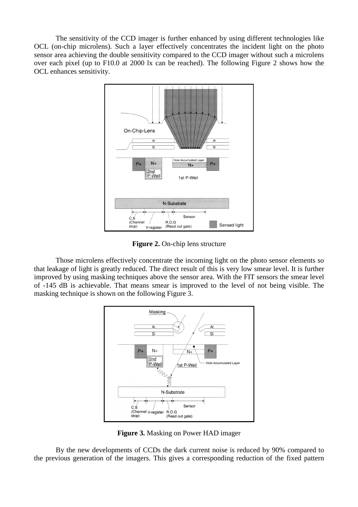The sensitivity of the CCD imager is further enhanced by using different technologies like OCL (on-chip microlens). Such a layer effectively concentrates the incident light on the photo sensor area achieving the double sensitivity compared to the CCD imager without such a microlens over each pixel (up to F10.0 at 2000 lx can be reached). The following Figure 2 shows how the OCL enhances sensitivity.



**Figure 2.** On-chip lens structure

Those microlens effectively concentrate the incoming light on the photo sensor elements so that leakage of light is greatly reduced. The direct result of this is very low smear level. It is further improved by using masking techniques above the sensor area. With the FIT sensors the smear level of -145 dB is achievable. That means smear is improved to the level of not being visible. The masking technique is shown on the following Figure 3.



**Figure 3.** Masking on Power HAD imager

By the new developments of CCDs the dark current noise is reduced by 90% compared to the previous generation of the imagers. This gives a corresponding reduction of the fixed pattern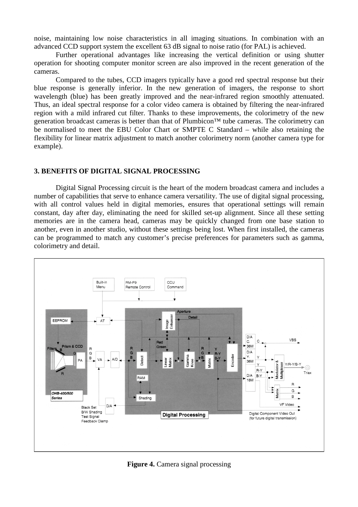noise, maintaining low noise characteristics in all imaging situations. In combination with an advanced CCD support system the excellent 63 dB signal to noise ratio (for PAL) is achieved.

Further operational advantages like increasing the vertical definition or using shutter operation for shooting computer monitor screen are also improved in the recent generation of the cameras.

Compared to the tubes, CCD imagers typically have a good red spectral response but their blue response is generally inferior. In the new generation of imagers, the response to short wavelength (blue) has been greatly improved and the near-infrared region smoothly attenuated. Thus, an ideal spectral response for a color video camera is obtained by filtering the near-infrared region with a mild infrared cut filter. Thanks to these improvements, the colorimetry of the new generation broadcast cameras is better than that of Plumbicon™ tube cameras. The colorimetry can be normalised to meet the EBU Color Chart or SMPTE C Standard – while also retaining the flexibility for linear matrix adjustment to match another colorimetry norm (another camera type for example).

#### **3. BENEFITS OF DIGITAL SIGNAL PROCESSING**

Digital Signal Processing circuit is the heart of the modern broadcast camera and includes a number of capabilities that serve to enhance camera versatility. The use of digital signal processing, with all control values held in digital memories, ensures that operational settings will remain constant, day after day, eliminating the need for skilled set-up alignment. Since all these setting memories are in the camera head, cameras may be quickly changed from one base station to another, even in another studio, without these settings being lost. When first installed, the cameras can be programmed to match any customer's precise preferences for parameters such as gamma, colorimetry and detail.



**Figure 4.** Camera signal processing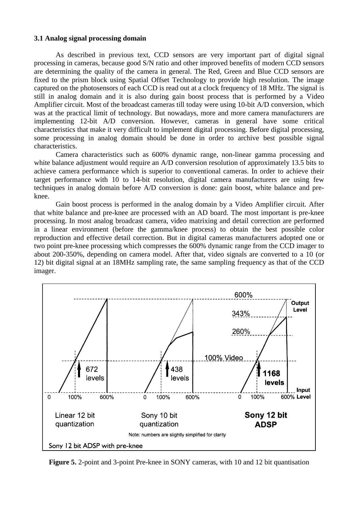# **3.1 Analog signal processing domain**

As described in previous text, CCD sensors are very important part of digital signal processing in cameras, because good S/N ratio and other improved benefits of modern CCD sensors are determining the quality of the camera in general. The Red, Green and Blue CCD sensors are fixed to the prism block using Spatial Offset Technology to provide high resolution. The image captured on the photosensors of each CCD is read out at a clock frequency of 18 MHz. The signal is still in analog domain and it is also during gain boost process that is performed by a Video Amplifier circuit. Most of the broadcast cameras till today were using 10-bit A/D conversion, which was at the practical limit of technology. But nowadays, more and more camera manufacturers are implementing 12-bit A/D conversion. However, cameras in general have some critical characteristics that make it very difficult to implement digital processing. Before digital processing, some processing in analog domain should be done in order to archive best possible signal characteristics.

Camera characteristics such as 600% dynamic range, non-linear gamma processing and white balance adjustment would require an A/D conversion resolution of approximately 13.5 bits to achieve camera performance which is superior to conventional cameras. In order to achieve their target performance with 10 to 14-bit resolution, digital camera manufacturers are using few techniques in analog domain before A/D conversion is done: gain boost, white balance and preknee.

Gain boost process is performed in the analog domain by a Video Amplifier circuit. After that white balance and pre-knee are processed with an AD board. The most important is pre-knee processing. In most analog broadcast camera, video matrixing and detail correction are performed in a linear environment (before the gamma/knee process) to obtain the best possible color reproduction and effective detail correction. But in digital cameras manufacturers adopted one or two point pre-knee processing which compresses the 600% dynamic range from the CCD imager to about 200-350%, depending on camera model. After that, video signals are converted to a 10 (or 12) bit digital signal at an 18MHz sampling rate, the same sampling frequency as that of the CCD imager.



**Figure 5.** 2-point and 3-point Pre-knee in SONY cameras, with 10 and 12 bit quantisation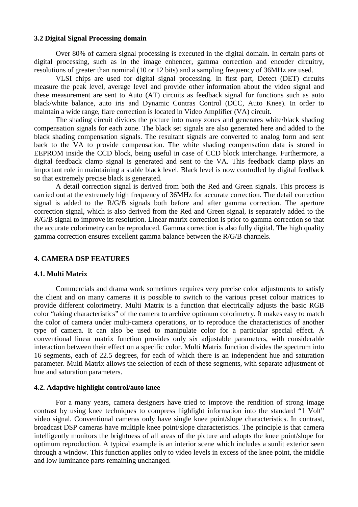# **3.2 Digital Signal Processing domain**

Over 80% of camera signal processing is executed in the digital domain. In certain parts of digital processing, such as in the image enhencer, gamma correction and encoder circuitry, resolutions of greater than nominal (10 or 12 bits) and a sampling frequency of 36MHz are used.

VLSI chips are used for digital signal processing. In first part, Detect (DET) circuits measure the peak level, average level and provide other information about the video signal and these measurement are sent to Auto (AT) circuits as feedback signal for functions such as auto black/white balance, auto iris and Dynamic Contras Control (DCC, Auto Knee). In order to maintain a wide range, flare correction is located in Video Amplifier (VA) circuit.

The shading circuit divides the picture into many zones and generates white/black shading compensation signals for each zone. The black set signals are also generated here and added to the black shading compensation signals. The resultant signals are converted to analog form and sent back to the VA to provide compensation. The white shading compensation data is stored in EEPROM inside the CCD block, being useful in case of CCD block interchange. Furthermore, a digital feedback clamp signal is generated and sent to the VA. This feedback clamp plays an important role in maintaining a stable black level. Black level is now controlled by digital feedback so that extremely precise black is generated.

A detail correction signal is derived from both the Red and Green signals. This process is carried out at the extremely high frequency of 36MHz for accurate correction. The detail correction signal is added to the R/G/B signals both before and after gamma correction. The aperture correction signal, which is also derived from the Red and Green signal, is separately added to the R/G/B signal to improve its resolution. Linear matrix correction is prior to gamma correction so that the accurate colorimetry can be reproduced. Gamma correction is also fully digital. The high quality gamma correction ensures excellent gamma balance between the R/G/B channels.

#### **4. CAMERA DSP FEATURES**

#### **4.1. Multi Matrix**

Commercials and drama work sometimes requires very precise color adjustments to satisfy the client and on many cameras it is possible to switch to the various preset colour matrices to provide different colorimetry. Multi Matrix is a function that electrically adjusts the basic RGB color "taking characteristics" of the camera to archive optimum colorimetry. It makes easy to match the color of camera under multi-camera operations, or to reproduce the characteristics of another type of camera. It can also be used to manipulate color for a particular special effect. A conventional linear matrix function provides only six adjustable parameters, with considerable interaction between their effect on a specific color. Multi Matrix function divides the spectrum into 16 segments, each of 22.5 degrees, for each of which there is an independent hue and saturation parameter. Multi Matrix allows the selection of each of these segments, with separate adjustment of hue and saturation parameters.

#### **4.2. Adaptive highlight control/auto knee**

For a many years, camera designers have tried to improve the rendition of strong image contrast by using knee techniques to compress highlight information into the standard "1 Volt" video signal. Conventional cameras only have single knee point/slope characteristics. In contrast, broadcast DSP cameras have multiple knee point/slope characteristics. The principle is that camera intelligently monitors the brightness of all areas of the picture and adopts the knee point/slope for optimum reproduction. A typical example is an interior scene which includes a sunlit exterior seen through a window. This function applies only to video levels in excess of the knee point, the middle and low luminance parts remaining unchanged.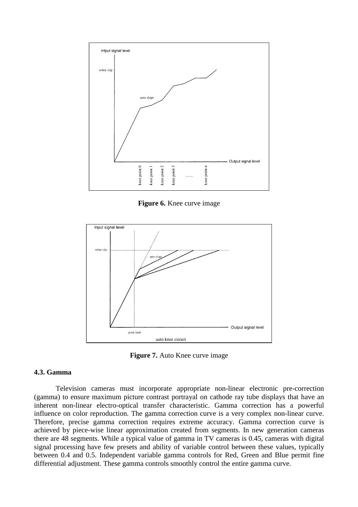

**Figure 6.** Knee curve image



**Figure 7.** Auto Knee curve image

#### **4.3. Gamma**

Television cameras must incorporate appropriate non-linear electronic pre-correction (gamma) to ensure maximum picture contrast portrayal on cathode ray tube displays that have an inherent non-linear electro-optical transfer characteristic. Gamma correction has a powerful influence on color reproduction. The gamma correction curve is a very complex non-linear curve. Therefore, precise gamma correction requires extreme accuracy. Gamma correction curve is achieved by piece-wise linear approximation created from segments. In new generation cameras there are 48 segments. While a typical value of gamma in TV cameras is 0.45, cameras with digital signal processing have few presets and ability of variable control between these values, typically between 0.4 and 0.5. Independent variable gamma controls for Red, Green and Blue permit fine differential adjustment. These gamma controls smoothly control the entire gamma curve.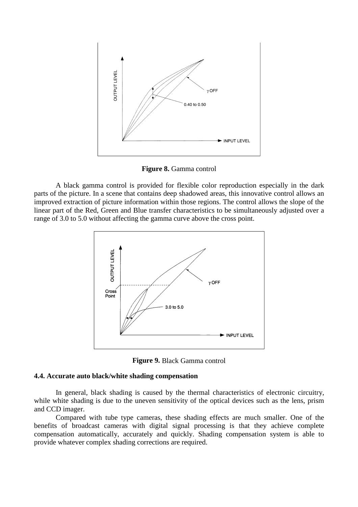

**Figure 8.** Gamma control

A black gamma control is provided for flexible color reproduction especially in the dark parts of the picture. In a scene that contains deep shadowed areas, this innovative control allows an improved extraction of picture information within those regions. The control allows the slope of the linear part of the Red, Green and Blue transfer characteristics to be simultaneously adjusted over a range of 3.0 to 5.0 without affecting the gamma curve above the cross point.



**Figure 9.** Black Gamma control

# **4.4. Accurate auto black/white shading compensation**

In general, black shading is caused by the thermal characteristics of electronic circuitry, while white shading is due to the uneven sensitivity of the optical devices such as the lens, prism and CCD imager.

Compared with tube type cameras, these shading effects are much smaller. One of the benefits of broadcast cameras with digital signal processing is that they achieve complete compensation automatically, accurately and quickly. Shading compensation system is able to provide whatever complex shading corrections are required.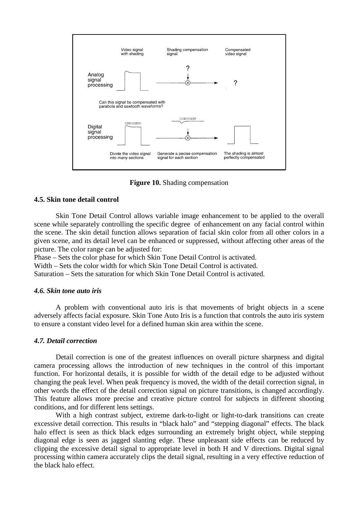

**Figure 10.** Shading compensation

#### **4.5. Skin tone detail control**

Skin Tone Detail Control allows variable image enhancement to be applied to the overall scene while separately controlling the specific degree of enhancement on any facial control within the scene. The skin detail function allows separation of facial skin color from all other colors in a given scene, and its detail level can be enhanced or suppressed, without affecting other areas of the picture. The color range can be adjusted for:

Phase – Sets the color phase for which Skin Tone Detail Control is activated.

Width – Sets the color width for which Skin Tone Detail Control is activated.

Saturation – Sets the saturation for which Skin Tone Detail Control is activated.

#### *4.6. Skin tone auto iris*

A problem with conventional auto iris is that movements of bright objects in a scene adversely affects facial exposure. Skin Tone Auto Iris is a function that controls the auto iris system to ensure a constant video level for a defined human skin area within the scene.

# *4.7. Detail correction*

Detail correction is one of the greatest influences on overall picture sharpness and digital camera processing allows the introduction of new techniques in the control of this important function. For horizontal details, it is possible for width of the detail edge to be adjusted without changing the peak level. When peak frequency is moved, the width of the detail correction signal, in other words the effect of the detail correction signal on picture transitions, is changed accordingly. This feature allows more precise and creative picture control for subjects in different shooting conditions, and for different lens settings.

With a high contrast subject, extreme dark-to-light or light-to-dark transitions can create excessive detail correction. This results in "black halo" and "stepping diagonal" effects. The black halo effect is seen as thick black edges surrounding an extremely bright object, while stepping diagonal edge is seen as jagged slanting edge. These unpleasant side effects can be reduced by clipping the excessive detail signal to appropriate level in both H and V directions. Digital signal processing within camera accurately clips the detail signal, resulting in a very effective reduction of the black halo effect.